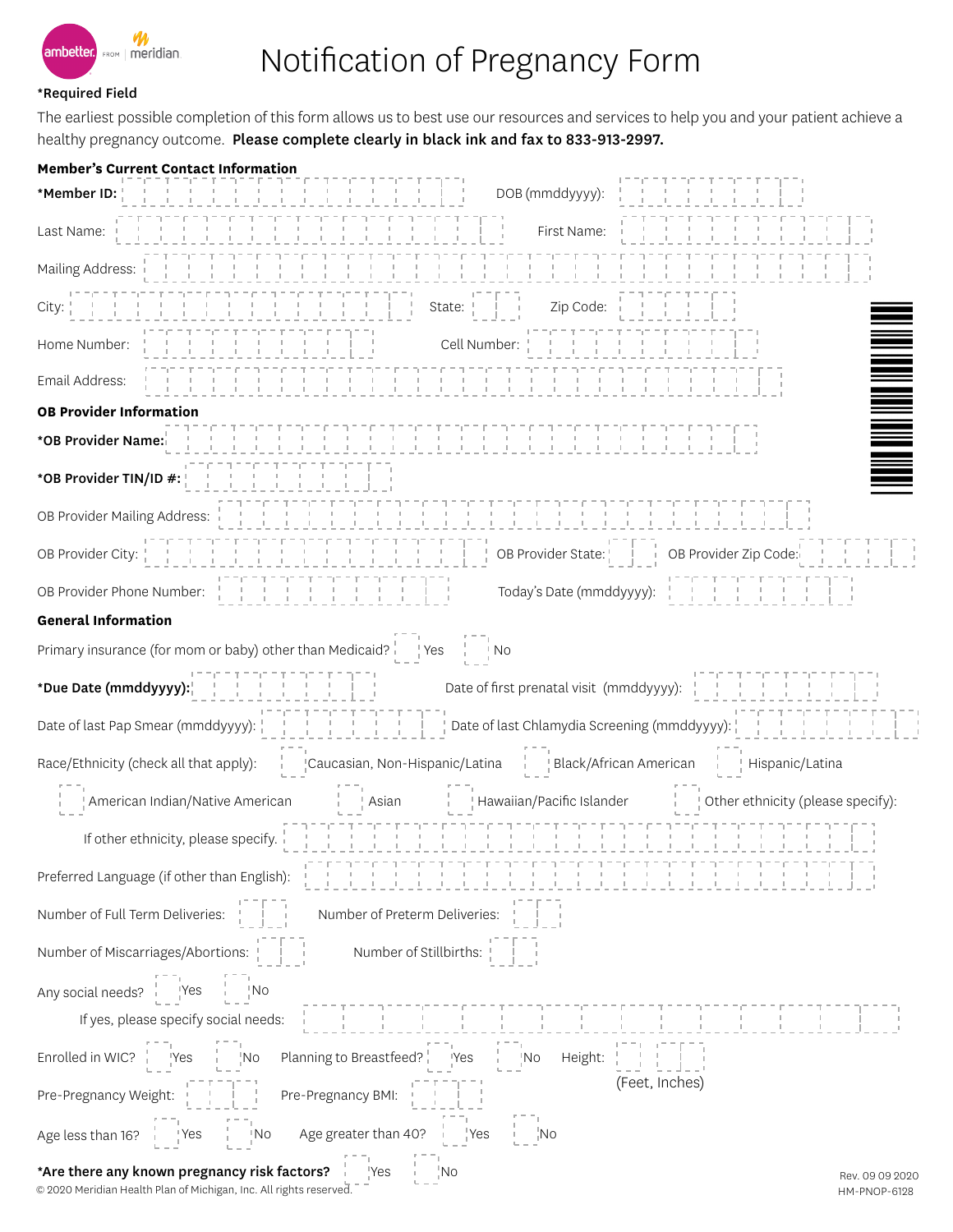

## Notification of Pregnancy Form

## \*Required Field

The earliest possible completion of this form allows us to best use our resources and services to help you and your patient achieve a healthy pregnancy outcome. Please complete clearly in black ink and fax to 833-913-2997.

| <b>Member's Current Contact Information</b>                                                                                                                                                                                                                                                                                                                                                                              |                                 |
|--------------------------------------------------------------------------------------------------------------------------------------------------------------------------------------------------------------------------------------------------------------------------------------------------------------------------------------------------------------------------------------------------------------------------|---------------------------------|
| DOB (mmddyyyy):<br>*Member ID: $\frac{1}{1}$                                                                                                                                                                                                                                                                                                                                                                             |                                 |
| andre de l'angles de l'angles de l'angles de l'angles de l'angles de l'angles de l'angles de l'angles de l'ang<br>L'angles de l'angles de l'angles de l'angles de l'angles de l'angles de l'angles de l'angles de l'angles de l'<br>Last Name: $\frac{1}{1}$ $\frac{1}{1}$ $\frac{1}{1}$ $\frac{1}{1}$ $\frac{1}{1}$ $\frac{1}{1}$ $\frac{1}{1}$<br>First Name:                                                          |                                 |
| Mailing Address:                                                                                                                                                                                                                                                                                                                                                                                                         |                                 |
| $\frac{1}{2}$ $\frac{1}{2}$ $\frac{1}{2}$ $\frac{1}{2}$ $\frac{1}{2}$ $\frac{1}{2}$ $\frac{1}{2}$ $\frac{1}{2}$ $\frac{1}{2}$ $\frac{1}{2}$ $\frac{1}{2}$ $\frac{1}{2}$ $\frac{1}{2}$ $\frac{1}{2}$ $\frac{1}{2}$ $\frac{1}{2}$ $\frac{1}{2}$ $\frac{1}{2}$ $\frac{1}{2}$ $\frac{1}{2}$ $\frac{1}{2}$ $\frac{1}{2}$<br>Zip Code: $\frac{1}{1}$<br>$City: \begin{array}{cccc} 1 & 1 & 1 & 1 \\ 1 & 1 & 1 & 1 \end{array}$ |                                 |
| Cell Number:                            <br>$-1$ . $-1$ . $-1$ . $-1$ . $-1$<br>Home Number:                                                                                                                                                                                                                                                                                                                             |                                 |
| n i Serie en de Santa Constantinopolis<br>La constantinopolista de Santa Constantinopolis<br>La constantinopolista de Santa Constantinopolista de Santa Const<br>Email Address:                                                                                                                                                                                                                                          | <u>Manala</u>                   |
| <b>OB Provider Information</b>                                                                                                                                                                                                                                                                                                                                                                                           |                                 |
| n de san seus de san de san de san de san de san de san de san de san de san de san de san de san de san de sa<br>L'altre la calidad de la calidad de la calidad de la calidad de la calidad de la calidad de la calidad de la c<br>*OB Provider Name:                                                                                                                                                                   |                                 |
| *OB Provider TIN/ID #:                                                                                                                                                                                                                                                                                                                                                                                                   |                                 |
| n de la participa de la participa de la participa de la participa de la participa de la participa de la partic<br>La participa de la participa de la participa de la participa de la participa de la participa de la participa d<br>OB Provider Mailing Address:                                                                                                                                                         |                                 |
|                                                                                                                                                                                                                                                                                                                                                                                                                          |                                 |
| Today's Date (mmddyyyy):<br>$\begin{bmatrix} 1 & 1 & 1 & 1 \\ 1 & 1 & 1 & 1 \\ 1 & 1 & 1 & 1 \end{bmatrix}$                                                                                                                                                                                                                                                                                                              |                                 |
| <b>General Information</b>                                                                                                                                                                                                                                                                                                                                                                                               |                                 |
| Primary insurance (for mom or baby) other than Medicaid? $\frac{1}{2}$ Yes                                                                                                                                                                                                                                                                                                                                               |                                 |
|                                                                                                                                                                                                                                                                                                                                                                                                                          |                                 |
|                                                                                                                                                                                                                                                                                                                                                                                                                          |                                 |
| Caucasian, Non-Hispanic/Latina   Black/African American   Hispanic/Latina<br>Race/Ethnicity (check all that apply):                                                                                                                                                                                                                                                                                                      |                                 |
|                                                                                                                                                                                                                                                                                                                                                                                                                          |                                 |
| If other ethnicity, please specify. $\begin{bmatrix} 1 & 1 & 1 & 1 \\ 1 & 1 & 1 & 1 \\ 1 & 1 & 1 & 1 \\ 1 & 1 & 1 & 1 \\ 1 & 1 & 1 & 1 \\ 1 & 1 & 1 & 1 \\ 1 & 1 & 1 & 1 \\ 1 & 1 & 1 & 1 \\ 1 & 1 & 1 & 1 \\ 1 & 1 & 1 & 1 \\ 1 & 1 & 1 & 1 \\ 1 & 1 & 1 & 1 \\ 1 & 1 & 1 & 1 \\ 1 & 1 & 1 & 1 \\ 1 & 1 & 1 & $                                                                                                         |                                 |
| Preferred Language (if other than English):<br>$\frac{1}{2}$<br>$\frac{1}{2}$<br>$\frac{1}{2}$<br>$\frac{1}{2}$<br>$\frac{1}{2}$<br>$\frac{1}{2}$<br>$\frac{1}{2}$<br>$\frac{1}{2}$<br>$\frac{1}{2}$<br>$\frac{1}{2}$<br>$\frac{1}{2}$<br>$\frac{1}{2}$<br>$\frac{1}{2}$<br>$\frac{1}{2}$<br>$\frac{1}{2}$<br>$\frac{1}{2}$<br>                                                                                          |                                 |
| Number of Full Term Deliveries:<br>Number of Preterm Deliveries:                                                                                                                                                                                                                                                                                                                                                         |                                 |
|                                                                                                                                                                                                                                                                                                                                                                                                                          |                                 |
| Any social needs? Nes No                                                                                                                                                                                                                                                                                                                                                                                                 |                                 |
|                                                                                                                                                                                                                                                                                                                                                                                                                          |                                 |
| Enrolled in WIC? Yes Yes No Planning to Breastfeed?<br>The Height: The Height: The Height: The Test of the Microsoft West Test of The Height: Test of Test of Test o                                                                                                                                                                                                                                                     |                                 |
| (Feet, Inches)<br>Pre-Pregnancy Weight: $\begin{array}{ccc} 1 & -1 & -1 \\ -1 & 1 & 1 \\ 1 & 1 & 1 \end{array}$ Pre-Pregnancy BMI:                                                                                                                                                                                                                                                                                       |                                 |
| Age less than 16? $\frac{1}{2}$ i <sup>v</sup> es in integral integrets than 40? in its integral integral integral integrals.                                                                                                                                                                                                                                                                                            |                                 |
| $\frac{1}{1}$ $\frac{1}{1}$ No<br>*Are there any known pregnancy risk factors?   Yes<br>© 2020 Meridian Health Plan of Michigan, Inc. All rights reserved.                                                                                                                                                                                                                                                               | Rev. 09 09 2020<br>HM-PNOP-6128 |